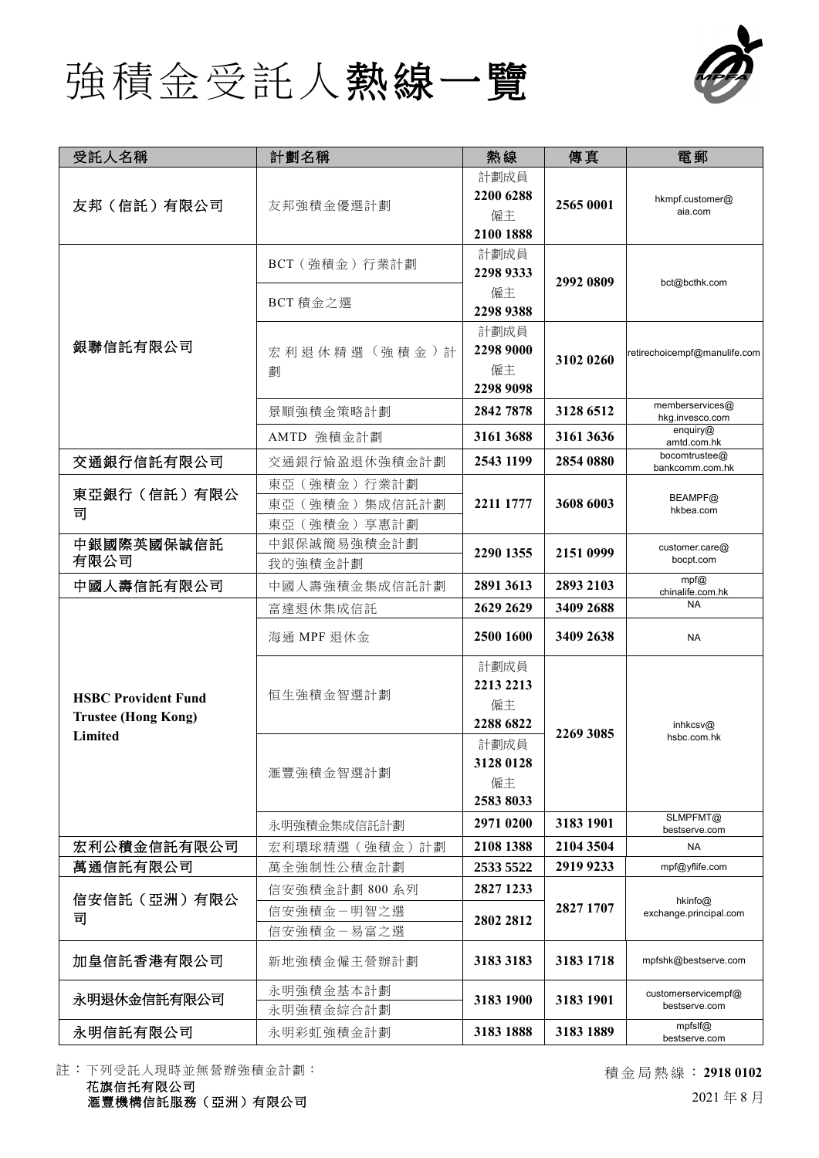



| 受託人名稱                                                               | 計劃名稱                                              | 熱線                                   | 傳真        | 電郵                                                         |
|---------------------------------------------------------------------|---------------------------------------------------|--------------------------------------|-----------|------------------------------------------------------------|
| 友邦 (信託) 有限公司                                                        | 友邦強積金優選計劃                                         | 計劃成員<br>2200 6288<br>僱主<br>2100 1888 | 2565 0001 | hkmpf.customer@<br>aia.com                                 |
| 銀聯信託有限公司                                                            | BCT (強積金) 行業計劃                                    | 計劃成員<br>2298 9333<br>僱主              | 2992 0809 | bct@bcthk.com                                              |
|                                                                     | BCT 積金之選                                          | 2298 9388                            |           |                                                            |
|                                                                     | 宏利退休精選(強積金)計<br>劃                                 | 計劃成員<br>2298 9000<br>僱主<br>2298 9098 | 3102 0260 | retirechoicempf@manulife.com                               |
|                                                                     | 景順強積金策略計劃                                         | 2842 7878                            | 3128 6512 | memberservices@<br>hkg.invesco.com                         |
|                                                                     | AMTD 強積金計劃                                        | 3161 3688                            | 3161 3636 | enquiry $@$<br>amtd.com.hk                                 |
| 交通銀行信託有限公司                                                          | 交通銀行愉盈退休強積金計劃                                     | 2543 1199                            | 2854 0880 | bocomtrustee@<br>bankcomm.com.hk                           |
| 東亞銀行(信託)有限公<br>司                                                    | 東亞 (強積金) 行業計劃<br>東亞 (強積金) 集成信託計劃<br>東亞 (強積金) 享惠計劃 | 2211 1777                            | 3608 6003 | BEAMPF@<br>hkbea.com                                       |
| 中銀國際英國保誠信託<br>有限公司                                                  | 中銀保誠簡易強積金計劃<br>我的強積金計劃                            | 2290 1355                            | 2151 0999 | customer.care@<br>bocpt.com                                |
| 中國人壽信託有限公司                                                          | 中國人壽強積金集成信託計劃                                     | 2891 3613                            | 2893 2103 | $mpf$ <sub>(<math>\alpha</math>)</sub><br>chinalife.com.hk |
|                                                                     | 富達退休集成信託                                          | 2629 2629                            | 3409 2688 | <b>NA</b>                                                  |
| <b>HSBC Provident Fund</b><br><b>Trustee (Hong Kong)</b><br>Limited | 海通 MPF 退休金                                        | 2500 1600                            | 3409 2638 | <b>NA</b>                                                  |
|                                                                     | 恒生強積金智選計劃                                         | 計劃成員                                 | 2269 3085 | inhkcsv $@$<br>hsbc.com.hk<br>SLMPFMT@                     |
|                                                                     |                                                   | 2213 2213                            |           |                                                            |
|                                                                     |                                                   | 僱主<br>2288 6822                      |           |                                                            |
|                                                                     | 滙豐強積金智選計劃                                         | 計劃成員                                 |           |                                                            |
|                                                                     |                                                   | 3128 0128                            |           |                                                            |
|                                                                     |                                                   | 僱主                                   |           |                                                            |
|                                                                     |                                                   | 2583 8033                            |           |                                                            |
|                                                                     | 永明強積金集成信託計劃                                       | 2971 0200                            | 3183 1901 | bestserve.com                                              |
| 宏利公積金信託有限公司                                                         | 宏利環球精選 (強積金)計劃                                    | 2108 1388                            | 2104 3504 | <b>NA</b>                                                  |
| 萬通信託有限公司<br>信安信託 (亞洲) 有限公<br>司                                      | 萬全強制性公積金計劃                                        | 2533 5522                            | 2919 9233 | mpf@yflife.com<br>hkinfo@<br>exchange.principal.com        |
|                                                                     | 信安強積金計劃 800 系列                                    | 2827 1233                            | 2827 1707 |                                                            |
|                                                                     | 信安強積金-明智之選<br>信安強積金-易富之選                          | 2802 2812                            |           |                                                            |
| 加皇信託香港有限公司                                                          | 新地強積金僱主營辦計劃                                       | 3183 3183                            | 3183 1718 | mpfshk@bestserve.com                                       |
| 永明退休金信託有限公司                                                         | 永明強積金基本計劃<br>永明強積金綜合計劃                            | 3183 1900                            | 3183 1901 | customerservicempf@<br>bestserve.com                       |
| 永明信託有限公司                                                            | 永明彩虹強積金計劃                                         | 3183 1888                            | 3183 1889 | mpfslf@<br>bestserve.com                                   |